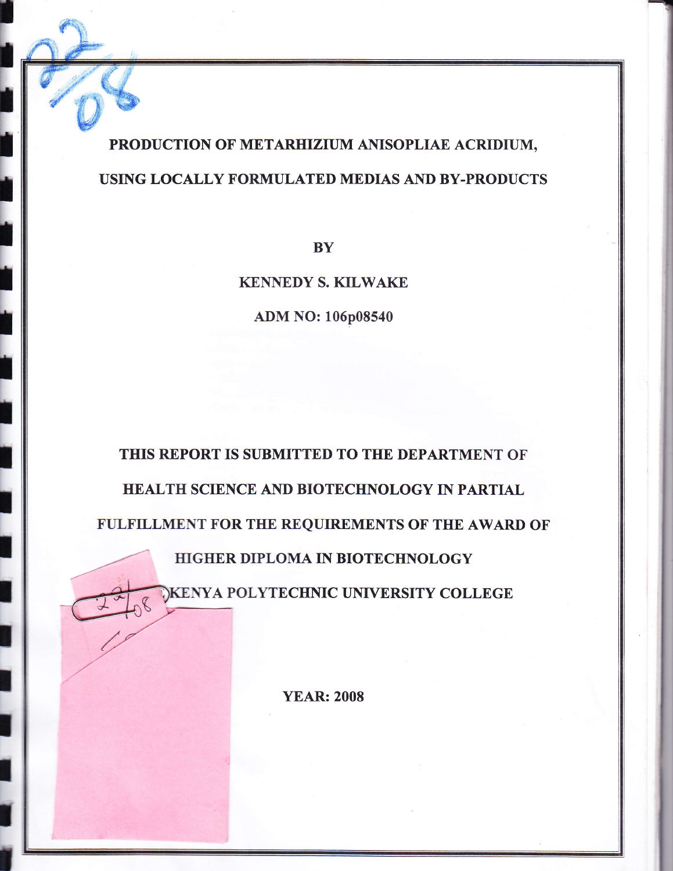## PRODUCTION OF METARHIZIUM ANISOPLIAE ACRIDIUM, USING LOCALLY FORMULATED MEDIAS AND BY.PRODUCTS

**I** 

I<br>L

**N** 

I

i.

I<br>L

T

I

I

T

I

I

I

t

I

t

I

I

I

t

**BY** 

**KENNEDY S. KILWAKE** 

ADM NO: 106p08540

THIS REPORT IS SUBMITTED TO THE DEPARTMENT OF HEALTH SCIENCE AND BIOTECHNOLOGY IN PARTIAL FULFILLMENT FOR THE REQUIREMENTS OF THE AWARD OF HIGHER DIPLOMA IN BIOTECHNOLOGY

**IKENYA POLYTECHNIC UNIVERSITY COLLEGE** 

YEAR: 2008